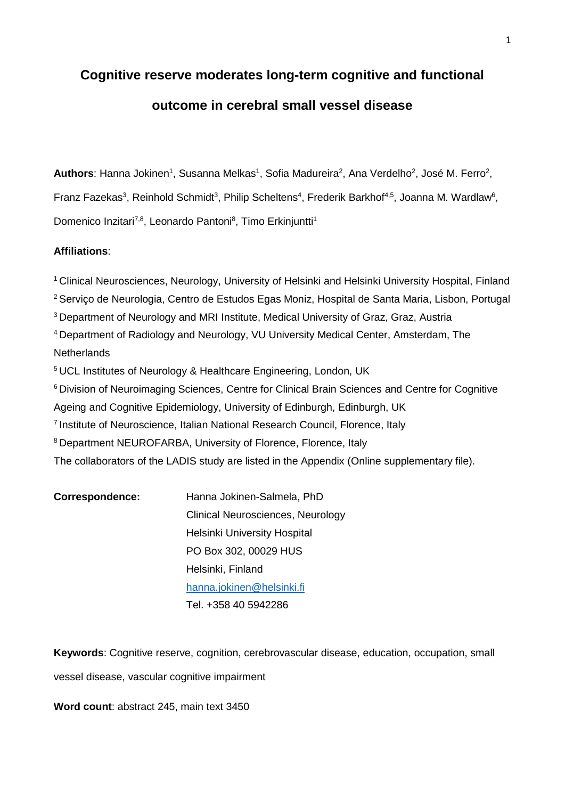# **Cognitive reserve moderates long-term cognitive and functional outcome in cerebral small vessel disease**

Authors: Hanna Jokinen<sup>1</sup>, Susanna Melkas<sup>1</sup>, Sofia Madureira<sup>2</sup>, Ana Verdelho<sup>2</sup>, José M. Ferro<sup>2</sup>, Franz Fazekas<sup>3</sup>, Reinhold Schmidt<sup>3</sup>, Philip Scheltens<sup>4</sup>, Frederik Barkhof<sup>4,5</sup>, Joanna M. Wardlaw<sup>6</sup>, Domenico Inzitari<sup>7,8</sup>, Leonardo Pantoni<sup>8</sup>, Timo Erkinjuntti<sup>1</sup>

# **Affiliations**:

<sup>1</sup> Clinical Neurosciences, Neurology, University of Helsinki and Helsinki University Hospital, Finland <sup>2</sup> Serviço de Neurologia, Centro de Estudos Egas Moniz, Hospital de Santa Maria, Lisbon, Portugal <sup>3</sup> Department of Neurology and MRI Institute, Medical University of Graz, Graz, Austria <sup>4</sup> Department of Radiology and Neurology, VU University Medical Center, Amsterdam, The **Netherlands** <sup>5</sup> UCL Institutes of Neurology & Healthcare Engineering, London, UK

<sup>6</sup> Division of Neuroimaging Sciences, Centre for Clinical Brain Sciences and Centre for Cognitive Ageing and Cognitive Epidemiology, University of Edinburgh, Edinburgh, UK

<sup>7</sup> Institute of Neuroscience, Italian National Research Council, Florence, Italy

<sup>8</sup> Department NEUROFARBA, University of Florence, Florence, Italy

The collaborators of the LADIS study are listed in the Appendix (Online supplementary file).

| <b>Correspondence:</b> | Hanna Jokinen-Salmela, PhD        |
|------------------------|-----------------------------------|
|                        | Clinical Neurosciences, Neurology |
|                        | Helsinki University Hospital      |
|                        | PO Box 302, 00029 HUS             |
|                        | Helsinki, Finland                 |
|                        | hanna.jokinen@helsinki.fi         |
|                        | Tel. +358 40 5942286              |

**Keywords**: Cognitive reserve, cognition, cerebrovascular disease, education, occupation, small vessel disease, vascular cognitive impairment

**Word count**: abstract 245, main text 3450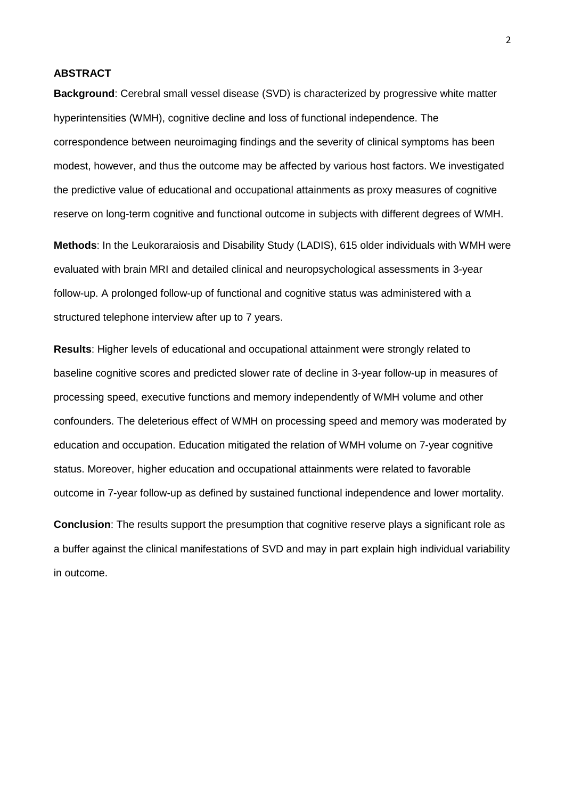# **ABSTRACT**

**Background**: Cerebral small vessel disease (SVD) is characterized by progressive white matter hyperintensities (WMH), cognitive decline and loss of functional independence. The correspondence between neuroimaging findings and the severity of clinical symptoms has been modest, however, and thus the outcome may be affected by various host factors. We investigated the predictive value of educational and occupational attainments as proxy measures of cognitive reserve on long-term cognitive and functional outcome in subjects with different degrees of WMH.

**Methods**: In the Leukoraraiosis and Disability Study (LADIS), 615 older individuals with WMH were evaluated with brain MRI and detailed clinical and neuropsychological assessments in 3-year follow-up. A prolonged follow-up of functional and cognitive status was administered with a structured telephone interview after up to 7 years.

**Results**: Higher levels of educational and occupational attainment were strongly related to baseline cognitive scores and predicted slower rate of decline in 3-year follow-up in measures of processing speed, executive functions and memory independently of WMH volume and other confounders. The deleterious effect of WMH on processing speed and memory was moderated by education and occupation. Education mitigated the relation of WMH volume on 7-year cognitive status. Moreover, higher education and occupational attainments were related to favorable outcome in 7-year follow-up as defined by sustained functional independence and lower mortality.

**Conclusion**: The results support the presumption that cognitive reserve plays a significant role as a buffer against the clinical manifestations of SVD and may in part explain high individual variability in outcome.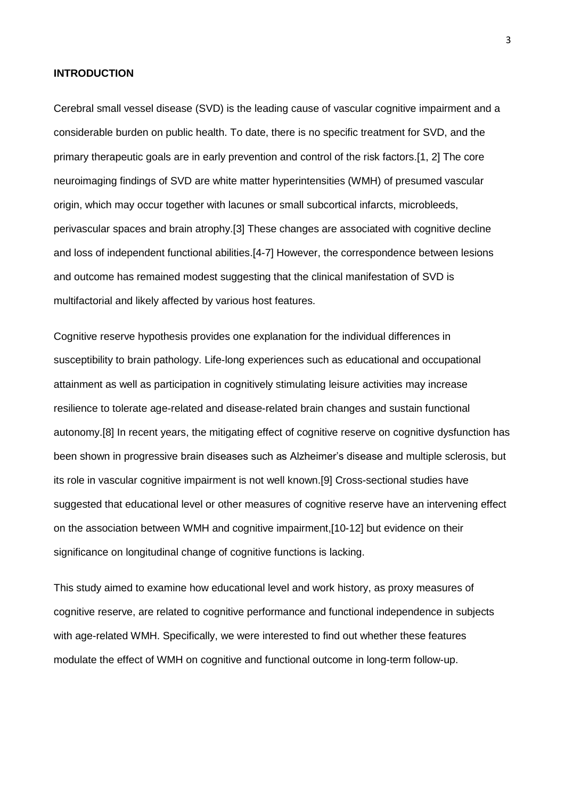#### **INTRODUCTION**

Cerebral small vessel disease (SVD) is the leading cause of vascular cognitive impairment and a considerable burden on public health. To date, there is no specific treatment for SVD, and the primary therapeutic goals are in early prevention and control of the risk factors.[1, 2] The core neuroimaging findings of SVD are white matter hyperintensities (WMH) of presumed vascular origin, which may occur together with lacunes or small subcortical infarcts, microbleeds, perivascular spaces and brain atrophy.[3] These changes are associated with cognitive decline and loss of independent functional abilities.[4-7] However, the correspondence between lesions and outcome has remained modest suggesting that the clinical manifestation of SVD is multifactorial and likely affected by various host features.

Cognitive reserve hypothesis provides one explanation for the individual differences in susceptibility to brain pathology. Life-long experiences such as educational and occupational attainment as well as participation in cognitively stimulating leisure activities may increase resilience to tolerate age-related and disease-related brain changes and sustain functional autonomy.[8] In recent years, the mitigating effect of cognitive reserve on cognitive dysfunction has been shown in progressive brain diseases such as Alzheimer's disease and multiple sclerosis, but its role in vascular cognitive impairment is not well known.[9] Cross-sectional studies have suggested that educational level or other measures of cognitive reserve have an intervening effect on the association between WMH and cognitive impairment,[10-12] but evidence on their significance on longitudinal change of cognitive functions is lacking.

This study aimed to examine how educational level and work history, as proxy measures of cognitive reserve, are related to cognitive performance and functional independence in subjects with age-related WMH. Specifically, we were interested to find out whether these features modulate the effect of WMH on cognitive and functional outcome in long-term follow-up.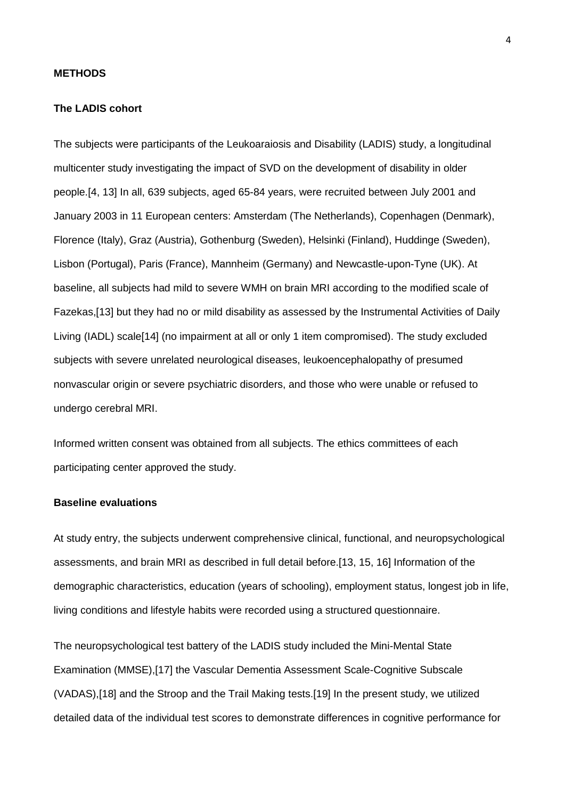### **METHODS**

#### **The LADIS cohort**

The subjects were participants of the Leukoaraiosis and Disability (LADIS) study, a longitudinal multicenter study investigating the impact of SVD on the development of disability in older people.[4, 13] In all, 639 subjects, aged 65-84 years, were recruited between July 2001 and January 2003 in 11 European centers: Amsterdam (The Netherlands), Copenhagen (Denmark), Florence (Italy), Graz (Austria), Gothenburg (Sweden), Helsinki (Finland), Huddinge (Sweden), Lisbon (Portugal), Paris (France), Mannheim (Germany) and Newcastle-upon-Tyne (UK). At baseline, all subjects had mild to severe WMH on brain MRI according to the modified scale of Fazekas,[13] but they had no or mild disability as assessed by the Instrumental Activities of Daily Living (IADL) scale[14] (no impairment at all or only 1 item compromised). The study excluded subjects with severe unrelated neurological diseases, leukoencephalopathy of presumed nonvascular origin or severe psychiatric disorders, and those who were unable or refused to undergo cerebral MRI.

Informed written consent was obtained from all subjects. The ethics committees of each participating center approved the study.

# **Baseline evaluations**

At study entry, the subjects underwent comprehensive clinical, functional, and neuropsychological assessments, and brain MRI as described in full detail before.[13, 15, 16] Information of the demographic characteristics, education (years of schooling), employment status, longest job in life, living conditions and lifestyle habits were recorded using a structured questionnaire.

The neuropsychological test battery of the LADIS study included the Mini-Mental State Examination (MMSE),[17] the Vascular Dementia Assessment Scale-Cognitive Subscale (VADAS),[18] and the Stroop and the Trail Making tests.[19] In the present study, we utilized detailed data of the individual test scores to demonstrate differences in cognitive performance for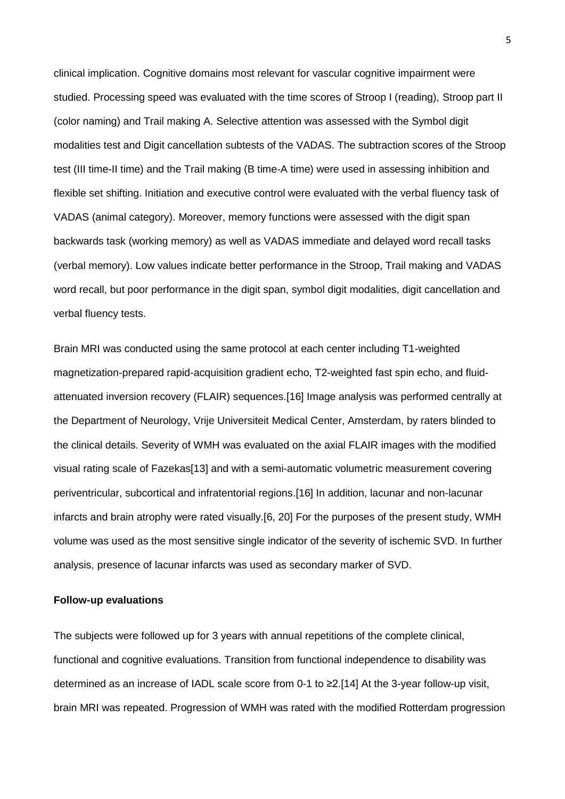clinical implication. Cognitive domains most relevant for vascular cognitive impairment were studied. Processing speed was evaluated with the time scores of Stroop I (reading), Stroop part II (color naming) and Trail making A. Selective attention was assessed with the Symbol digit modalities test and Digit cancellation subtests of the VADAS. The subtraction scores of the Stroop test (III time-II time) and the Trail making (B time-A time) were used in assessing inhibition and flexible set shifting. Initiation and executive control were evaluated with the verbal fluency task of VADAS (animal category). Moreover, memory functions were assessed with the digit span backwards task (working memory) as well as VADAS immediate and delayed word recall tasks (verbal memory). Low values indicate better performance in the Stroop, Trail making and VADAS word recall, but poor performance in the digit span, symbol digit modalities, digit cancellation and verbal fluency tests.

Brain MRI was conducted using the same protocol at each center including T1-weighted magnetization-prepared rapid-acquisition gradient echo, T2-weighted fast spin echo, and fluidattenuated inversion recovery (FLAIR) sequences.[16] Image analysis was performed centrally at the Department of Neurology, Vrije Universiteit Medical Center, Amsterdam, by raters blinded to the clinical details. Severity of WMH was evaluated on the axial FLAIR images with the modified visual rating scale of Fazekas[13] and with a semi-automatic volumetric measurement covering periventricular, subcortical and infratentorial regions.[16] In addition, lacunar and non-lacunar infarcts and brain atrophy were rated visually.[6, 20] For the purposes of the present study, WMH volume was used as the most sensitive single indicator of the severity of ischemic SVD. In further analysis, presence of lacunar infarcts was used as secondary marker of SVD.

### **Follow-up evaluations**

The subjects were followed up for 3 years with annual repetitions of the complete clinical, functional and cognitive evaluations. Transition from functional independence to disability was determined as an increase of IADL scale score from 0-1 to ≥2.[14] At the 3-year follow-up visit, brain MRI was repeated. Progression of WMH was rated with the modified Rotterdam progression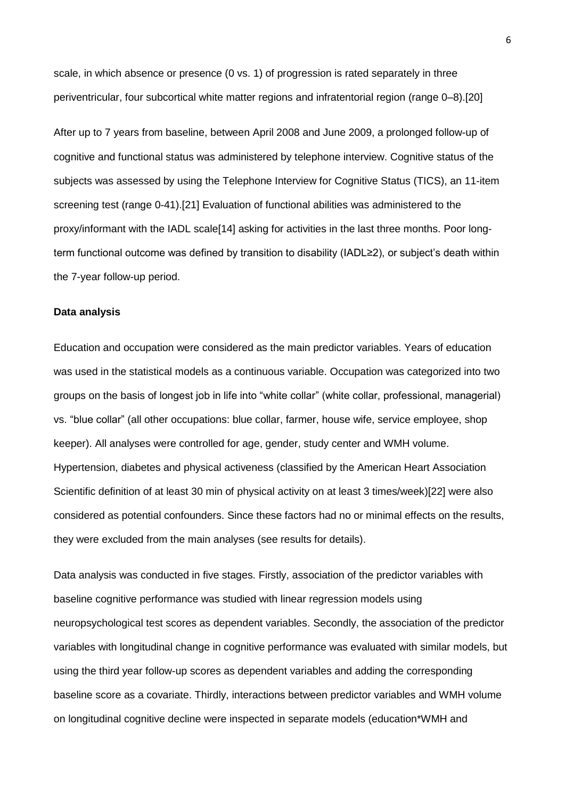scale, in which absence or presence (0 vs. 1) of progression is rated separately in three periventricular, four subcortical white matter regions and infratentorial region (range 0–8).[20]

After up to 7 years from baseline, between April 2008 and June 2009, a prolonged follow-up of cognitive and functional status was administered by telephone interview. Cognitive status of the subjects was assessed by using the Telephone Interview for Cognitive Status (TICS), an 11-item screening test (range 0-41).[21] Evaluation of functional abilities was administered to the proxy/informant with the IADL scale[14] asking for activities in the last three months. Poor longterm functional outcome was defined by transition to disability (IADL≥2), or subject's death within the 7-year follow-up period.

#### **Data analysis**

Education and occupation were considered as the main predictor variables. Years of education was used in the statistical models as a continuous variable. Occupation was categorized into two groups on the basis of longest job in life into "white collar" (white collar, professional, managerial) vs. "blue collar" (all other occupations: blue collar, farmer, house wife, service employee, shop keeper). All analyses were controlled for age, gender, study center and WMH volume. Hypertension, diabetes and physical activeness (classified by the American Heart Association Scientific definition of at least 30 min of physical activity on at least 3 times/week)[22] were also considered as potential confounders. Since these factors had no or minimal effects on the results, they were excluded from the main analyses (see results for details).

Data analysis was conducted in five stages. Firstly, association of the predictor variables with baseline cognitive performance was studied with linear regression models using neuropsychological test scores as dependent variables. Secondly, the association of the predictor variables with longitudinal change in cognitive performance was evaluated with similar models, but using the third year follow-up scores as dependent variables and adding the corresponding baseline score as a covariate. Thirdly, interactions between predictor variables and WMH volume on longitudinal cognitive decline were inspected in separate models (education\*WMH and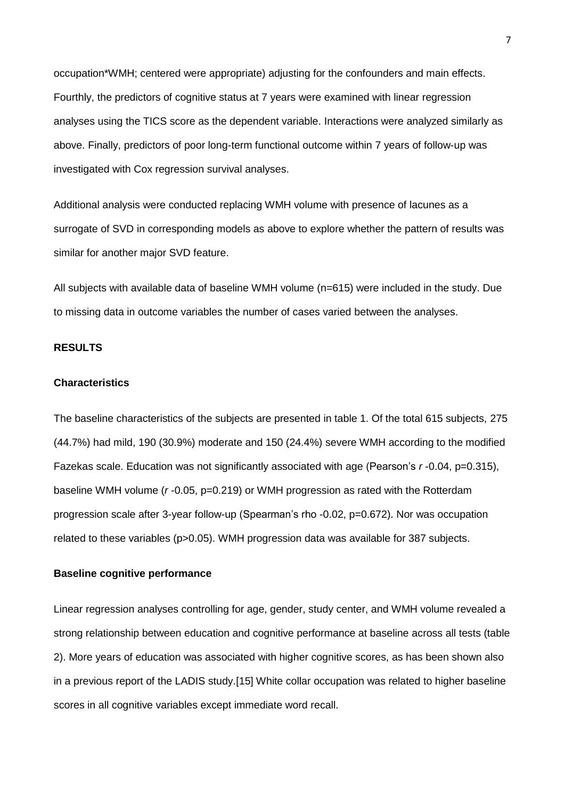occupation\*WMH; centered were appropriate) adjusting for the confounders and main effects. Fourthly, the predictors of cognitive status at 7 years were examined with linear regression analyses using the TICS score as the dependent variable. Interactions were analyzed similarly as above. Finally, predictors of poor long-term functional outcome within 7 years of follow-up was investigated with Cox regression survival analyses.

Additional analysis were conducted replacing WMH volume with presence of lacunes as a surrogate of SVD in corresponding models as above to explore whether the pattern of results was similar for another major SVD feature.

All subjects with available data of baseline WMH volume (n=615) were included in the study. Due to missing data in outcome variables the number of cases varied between the analyses.

# **RESULTS**

# **Characteristics**

The baseline characteristics of the subjects are presented in table 1. Of the total 615 subjects, 275 (44.7%) had mild, 190 (30.9%) moderate and 150 (24.4%) severe WMH according to the modified Fazekas scale. Education was not significantly associated with age (Pearson's r-0.04, p=0.315), baseline WMH volume (*r* -0.05, p=0.219) or WMH progression as rated with the Rotterdam progression scale after 3-year follow-up (Spearman's rho -0.02, p=0.672). Nor was occupation related to these variables (p>0.05). WMH progression data was available for 387 subjects.

# **Baseline cognitive performance**

Linear regression analyses controlling for age, gender, study center, and WMH volume revealed a strong relationship between education and cognitive performance at baseline across all tests (table 2). More years of education was associated with higher cognitive scores, as has been shown also in a previous report of the LADIS study.[15] White collar occupation was related to higher baseline scores in all cognitive variables except immediate word recall.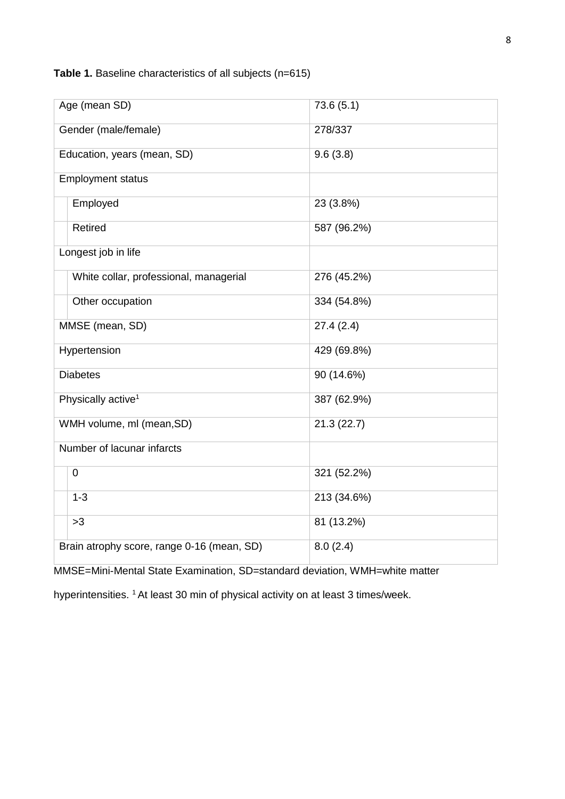**Table 1.** Baseline characteristics of all subjects (n=615)

| Age (mean SD)                              | 73.6(5.1)   |
|--------------------------------------------|-------------|
| Gender (male/female)                       | 278/337     |
| Education, years (mean, SD)                | 9.6(3.8)    |
| <b>Employment status</b>                   |             |
| Employed                                   | 23 (3.8%)   |
| Retired                                    | 587 (96.2%) |
| Longest job in life                        |             |
| White collar, professional, managerial     | 276 (45.2%) |
| Other occupation                           | 334 (54.8%) |
| MMSE (mean, SD)                            | 27.4(2.4)   |
| Hypertension                               | 429 (69.8%) |
| <b>Diabetes</b>                            | 90 (14.6%)  |
| Physically active <sup>1</sup>             | 387 (62.9%) |
| WMH volume, ml (mean, SD)                  | 21.3(22.7)  |
| Number of lacunar infarcts                 |             |
| $\mathbf 0$                                | 321 (52.2%) |
| $1 - 3$                                    | 213 (34.6%) |
| >3                                         | 81 (13.2%)  |
| Brain atrophy score, range 0-16 (mean, SD) | 8.0(2.4)    |

MMSE=Mini-Mental State Examination, SD=standard deviation, WMH=white matter

hyperintensities. <sup>1</sup> At least 30 min of physical activity on at least 3 times/week.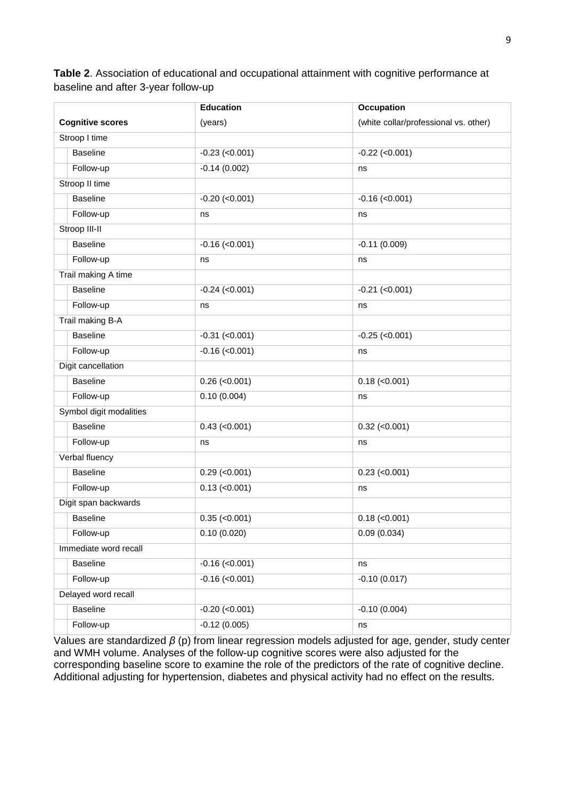**Table 2**. Association of educational and occupational attainment with cognitive performance at baseline and after 3-year follow-up

|                         | <b>Education</b>    | <b>Occupation</b>                     |
|-------------------------|---------------------|---------------------------------------|
| <b>Cognitive scores</b> | (years)             | (white collar/professional vs. other) |
| Stroop I time           |                     |                                       |
| <b>Baseline</b>         | $-0.23$ (<0.001)    | $-0.22$ (<0.001)                      |
| Follow-up               | $-0.14(0.002)$      | ns                                    |
| Stroop II time          |                     |                                       |
| <b>Baseline</b>         | $-0.20$ (<0.001)    | $-0.16$ (<0.001)                      |
| Follow-up               | ns                  | ns                                    |
| Stroop III-II           |                     |                                       |
| <b>Baseline</b>         | $-0.16$ (<0.001)    | $-0.11(0.009)$                        |
| Follow-up               | ns                  | ns                                    |
| Trail making A time     |                     |                                       |
| <b>Baseline</b>         | $-0.24$ (<0.001)    | $-0.21$ (<0.001)                      |
| Follow-up               | ns                  | ns                                    |
| Trail making B-A        |                     |                                       |
| <b>Baseline</b>         | $-0.31$ (<0.001)    | $-0.25$ (<0.001)                      |
| Follow-up               | $-0.16$ (<0.001)    | ns                                    |
| Digit cancellation      |                     |                                       |
| <b>Baseline</b>         | $0.26$ (< $0.001$ ) | $0.18$ (< $0.001$ )                   |
| Follow-up               | 0.10(0.004)         | ns                                    |
| Symbol digit modalities |                     |                                       |
| <b>Baseline</b>         | $0.43$ (< $0.001$ ) | $0.32$ (< $0.001$ )                   |
| Follow-up               | ns                  | ns                                    |
| Verbal fluency          |                     |                                       |
| <b>Baseline</b>         | $0.29$ (< $0.001$ ) | $0.23$ (< $0.001$ )                   |
| Follow-up               | $0.13$ (< $0.001$ ) | ns                                    |
| Digit span backwards    |                     |                                       |
| <b>Baseline</b>         | $0.35$ (< $0.001$ ) | $0.18$ (< $0.001$ )                   |
| Follow-up               | 0.10(0.020)         | 0.09(0.034)                           |
| Immediate word recall   |                     |                                       |
| <b>Baseline</b>         | $-0.16$ (<0.001)    | ns                                    |
| Follow-up               | $-0.16$ (<0.001)    | $-0.10(0.017)$                        |
| Delayed word recall     |                     |                                       |
| <b>Baseline</b>         | $-0.20$ (<0.001)    | $-0.10(0.004)$                        |
| Follow-up               | $-0.12(0.005)$      | ns                                    |

Values are standardized *β* (p) from linear regression models adjusted for age, gender, study center and WMH volume. Analyses of the follow-up cognitive scores were also adjusted for the corresponding baseline score to examine the role of the predictors of the rate of cognitive decline. Additional adjusting for hypertension, diabetes and physical activity had no effect on the results.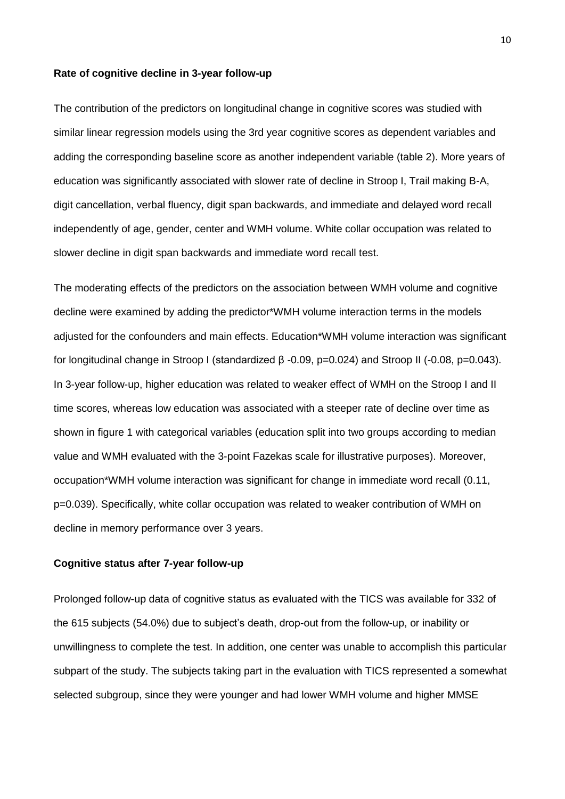#### **Rate of cognitive decline in 3-year follow-up**

The contribution of the predictors on longitudinal change in cognitive scores was studied with similar linear regression models using the 3rd year cognitive scores as dependent variables and adding the corresponding baseline score as another independent variable (table 2). More years of education was significantly associated with slower rate of decline in Stroop I, Trail making B-A, digit cancellation, verbal fluency, digit span backwards, and immediate and delayed word recall independently of age, gender, center and WMH volume. White collar occupation was related to slower decline in digit span backwards and immediate word recall test.

The moderating effects of the predictors on the association between WMH volume and cognitive decline were examined by adding the predictor\*WMH volume interaction terms in the models adjusted for the confounders and main effects. Education\*WMH volume interaction was significant for longitudinal change in Stroop I (standardized β -0.09, p=0.024) and Stroop II (-0.08, p=0.043). In 3-year follow-up, higher education was related to weaker effect of WMH on the Stroop I and II time scores, whereas low education was associated with a steeper rate of decline over time as shown in figure 1 with categorical variables (education split into two groups according to median value and WMH evaluated with the 3-point Fazekas scale for illustrative purposes). Moreover, occupation\*WMH volume interaction was significant for change in immediate word recall (0.11, p=0.039). Specifically, white collar occupation was related to weaker contribution of WMH on decline in memory performance over 3 years.

#### **Cognitive status after 7-year follow-up**

Prolonged follow-up data of cognitive status as evaluated with the TICS was available for 332 of the 615 subjects (54.0%) due to subject's death, drop-out from the follow-up, or inability or unwillingness to complete the test. In addition, one center was unable to accomplish this particular subpart of the study. The subjects taking part in the evaluation with TICS represented a somewhat selected subgroup, since they were younger and had lower WMH volume and higher MMSE

10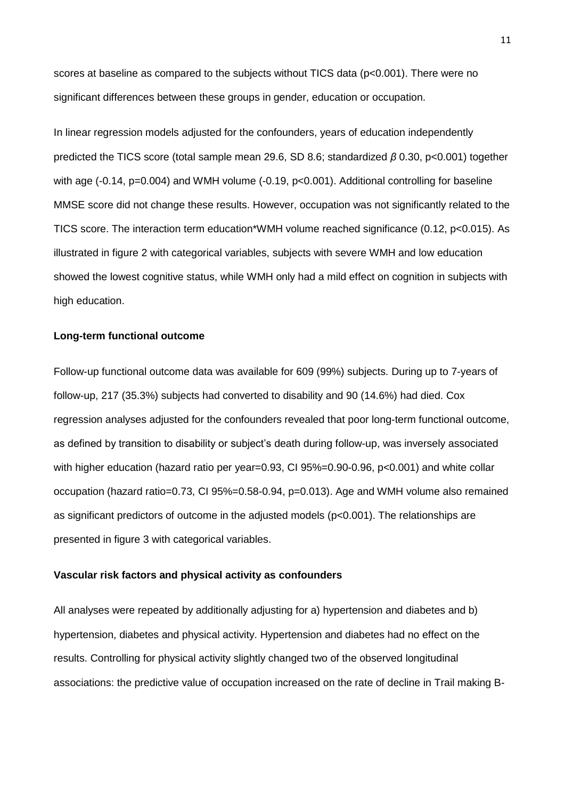scores at baseline as compared to the subjects without TICS data (p<0.001). There were no significant differences between these groups in gender, education or occupation.

In linear regression models adjusted for the confounders, years of education independently predicted the TICS score (total sample mean 29.6, SD 8.6; standardized *β* 0.30, p<0.001) together with age (-0.14, p=0.004) and WMH volume (-0.19, p<0.001). Additional controlling for baseline MMSE score did not change these results. However, occupation was not significantly related to the TICS score. The interaction term education\*WMH volume reached significance (0.12, p<0.015). As illustrated in figure 2 with categorical variables, subjects with severe WMH and low education showed the lowest cognitive status, while WMH only had a mild effect on cognition in subjects with high education.

# **Long-term functional outcome**

Follow-up functional outcome data was available for 609 (99%) subjects. During up to 7-years of follow-up, 217 (35.3%) subjects had converted to disability and 90 (14.6%) had died. Cox regression analyses adjusted for the confounders revealed that poor long-term functional outcome, as defined by transition to disability or subject's death during follow-up, was inversely associated with higher education (hazard ratio per year=0.93, CI 95%=0.90-0.96, p<0.001) and white collar occupation (hazard ratio=0.73, CI 95%=0.58-0.94, p=0.013). Age and WMH volume also remained as significant predictors of outcome in the adjusted models (p<0.001). The relationships are presented in figure 3 with categorical variables.

#### **Vascular risk factors and physical activity as confounders**

All analyses were repeated by additionally adjusting for a) hypertension and diabetes and b) hypertension, diabetes and physical activity. Hypertension and diabetes had no effect on the results. Controlling for physical activity slightly changed two of the observed longitudinal associations: the predictive value of occupation increased on the rate of decline in Trail making B-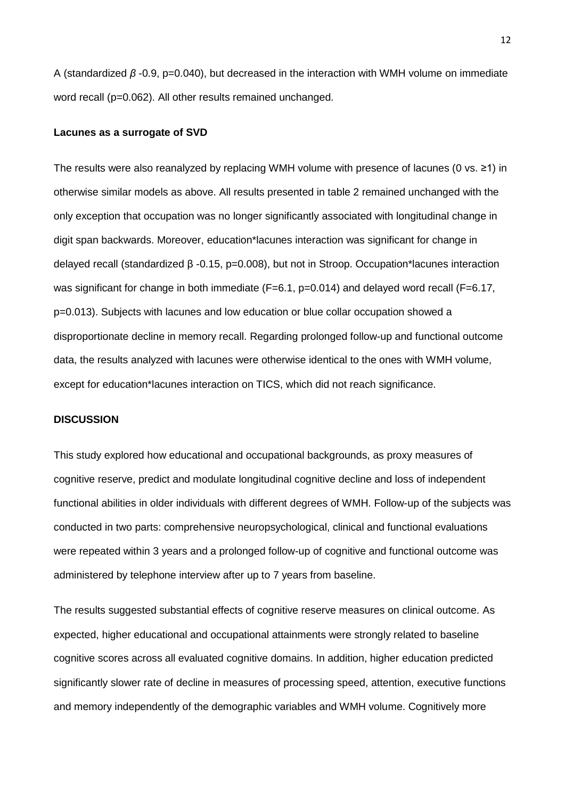A (standardized *β* -0.9, p=0.040), but decreased in the interaction with WMH volume on immediate word recall (p=0.062). All other results remained unchanged.

#### **Lacunes as a surrogate of SVD**

The results were also reanalyzed by replacing WMH volume with presence of lacunes (0 vs. ≥1) in otherwise similar models as above. All results presented in table 2 remained unchanged with the only exception that occupation was no longer significantly associated with longitudinal change in digit span backwards. Moreover, education\*lacunes interaction was significant for change in delayed recall (standardized β -0.15, p=0.008), but not in Stroop. Occupation\*lacunes interaction was significant for change in both immediate (F=6.1, p=0.014) and delayed word recall (F=6.17, p=0.013). Subjects with lacunes and low education or blue collar occupation showed a disproportionate decline in memory recall. Regarding prolonged follow-up and functional outcome data, the results analyzed with lacunes were otherwise identical to the ones with WMH volume, except for education\*lacunes interaction on TICS, which did not reach significance.

## **DISCUSSION**

This study explored how educational and occupational backgrounds, as proxy measures of cognitive reserve, predict and modulate longitudinal cognitive decline and loss of independent functional abilities in older individuals with different degrees of WMH. Follow-up of the subjects was conducted in two parts: comprehensive neuropsychological, clinical and functional evaluations were repeated within 3 years and a prolonged follow-up of cognitive and functional outcome was administered by telephone interview after up to 7 years from baseline.

The results suggested substantial effects of cognitive reserve measures on clinical outcome. As expected, higher educational and occupational attainments were strongly related to baseline cognitive scores across all evaluated cognitive domains. In addition, higher education predicted significantly slower rate of decline in measures of processing speed, attention, executive functions and memory independently of the demographic variables and WMH volume. Cognitively more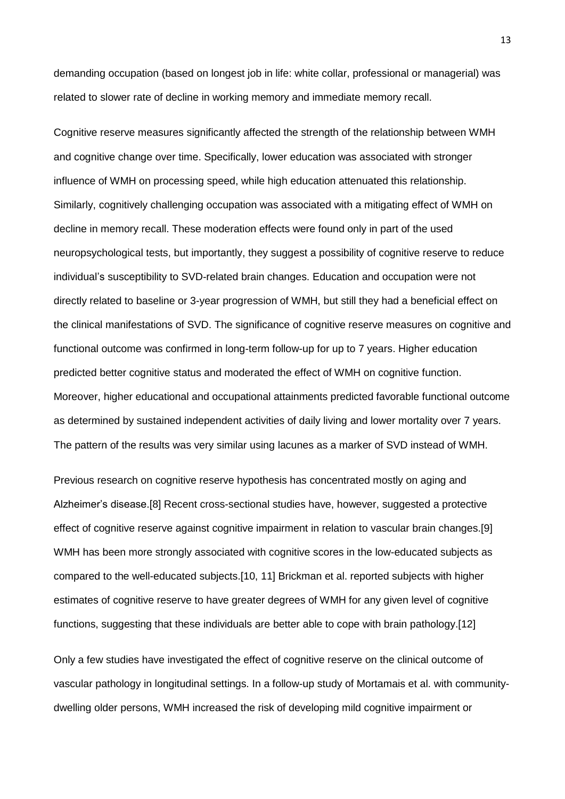demanding occupation (based on longest job in life: white collar, professional or managerial) was related to slower rate of decline in working memory and immediate memory recall.

Cognitive reserve measures significantly affected the strength of the relationship between WMH and cognitive change over time. Specifically, lower education was associated with stronger influence of WMH on processing speed, while high education attenuated this relationship. Similarly, cognitively challenging occupation was associated with a mitigating effect of WMH on decline in memory recall. These moderation effects were found only in part of the used neuropsychological tests, but importantly, they suggest a possibility of cognitive reserve to reduce individual's susceptibility to SVD-related brain changes. Education and occupation were not directly related to baseline or 3-year progression of WMH, but still they had a beneficial effect on the clinical manifestations of SVD. The significance of cognitive reserve measures on cognitive and functional outcome was confirmed in long-term follow-up for up to 7 years. Higher education predicted better cognitive status and moderated the effect of WMH on cognitive function. Moreover, higher educational and occupational attainments predicted favorable functional outcome as determined by sustained independent activities of daily living and lower mortality over 7 years. The pattern of the results was very similar using lacunes as a marker of SVD instead of WMH.

Previous research on cognitive reserve hypothesis has concentrated mostly on aging and Alzheimer's disease.[8] Recent cross-sectional studies have, however, suggested a protective effect of cognitive reserve against cognitive impairment in relation to vascular brain changes.[9] WMH has been more strongly associated with cognitive scores in the low-educated subjects as compared to the well-educated subjects.[10, 11] Brickman et al. reported subjects with higher estimates of cognitive reserve to have greater degrees of WMH for any given level of cognitive functions, suggesting that these individuals are better able to cope with brain pathology.[12]

Only a few studies have investigated the effect of cognitive reserve on the clinical outcome of vascular pathology in longitudinal settings. In a follow-up study of Mortamais et al. with communitydwelling older persons, WMH increased the risk of developing mild cognitive impairment or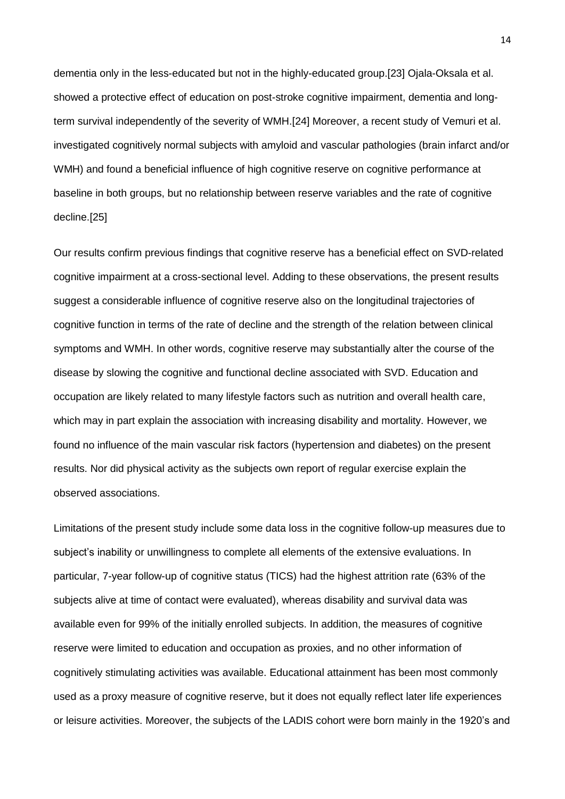dementia only in the less-educated but not in the highly-educated group.[23] Ojala-Oksala et al. showed a protective effect of education on post-stroke cognitive impairment, dementia and longterm survival independently of the severity of WMH.[24] Moreover, a recent study of Vemuri et al. investigated cognitively normal subjects with amyloid and vascular pathologies (brain infarct and/or WMH) and found a beneficial influence of high cognitive reserve on cognitive performance at baseline in both groups, but no relationship between reserve variables and the rate of cognitive decline.[25]

Our results confirm previous findings that cognitive reserve has a beneficial effect on SVD-related cognitive impairment at a cross-sectional level. Adding to these observations, the present results suggest a considerable influence of cognitive reserve also on the longitudinal trajectories of cognitive function in terms of the rate of decline and the strength of the relation between clinical symptoms and WMH. In other words, cognitive reserve may substantially alter the course of the disease by slowing the cognitive and functional decline associated with SVD. Education and occupation are likely related to many lifestyle factors such as nutrition and overall health care, which may in part explain the association with increasing disability and mortality. However, we found no influence of the main vascular risk factors (hypertension and diabetes) on the present results. Nor did physical activity as the subjects own report of regular exercise explain the observed associations.

Limitations of the present study include some data loss in the cognitive follow-up measures due to subject's inability or unwillingness to complete all elements of the extensive evaluations. In particular, 7-year follow-up of cognitive status (TICS) had the highest attrition rate (63% of the subjects alive at time of contact were evaluated), whereas disability and survival data was available even for 99% of the initially enrolled subjects. In addition, the measures of cognitive reserve were limited to education and occupation as proxies, and no other information of cognitively stimulating activities was available. Educational attainment has been most commonly used as a proxy measure of cognitive reserve, but it does not equally reflect later life experiences or leisure activities. Moreover, the subjects of the LADIS cohort were born mainly in the 1920's and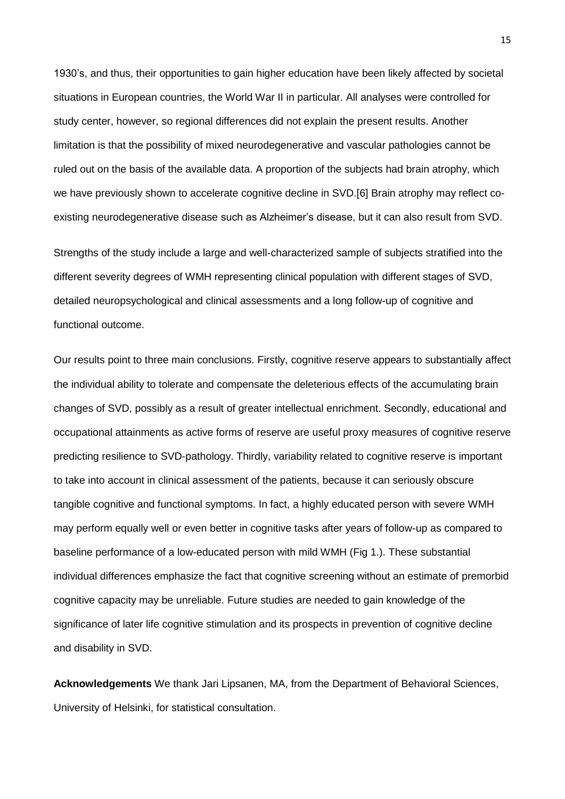1930's, and thus, their opportunities to gain higher education have been likely affected by societal situations in European countries, the World War II in particular. All analyses were controlled for study center, however, so regional differences did not explain the present results. Another limitation is that the possibility of mixed neurodegenerative and vascular pathologies cannot be ruled out on the basis of the available data. A proportion of the subjects had brain atrophy, which we have previously shown to accelerate cognitive decline in SVD.[6] Brain atrophy may reflect coexisting neurodegenerative disease such as Alzheimer's disease, but it can also result from SVD.

Strengths of the study include a large and well-characterized sample of subjects stratified into the different severity degrees of WMH representing clinical population with different stages of SVD, detailed neuropsychological and clinical assessments and a long follow-up of cognitive and functional outcome.

Our results point to three main conclusions. Firstly, cognitive reserve appears to substantially affect the individual ability to tolerate and compensate the deleterious effects of the accumulating brain changes of SVD, possibly as a result of greater intellectual enrichment. Secondly, educational and occupational attainments as active forms of reserve are useful proxy measures of cognitive reserve predicting resilience to SVD-pathology. Thirdly, variability related to cognitive reserve is important to take into account in clinical assessment of the patients, because it can seriously obscure tangible cognitive and functional symptoms. In fact, a highly educated person with severe WMH may perform equally well or even better in cognitive tasks after years of follow-up as compared to baseline performance of a low-educated person with mild WMH (Fig 1.). These substantial individual differences emphasize the fact that cognitive screening without an estimate of premorbid cognitive capacity may be unreliable. Future studies are needed to gain knowledge of the significance of later life cognitive stimulation and its prospects in prevention of cognitive decline and disability in SVD.

**Acknowledgements** We thank Jari Lipsanen, MA, from the Department of Behavioral Sciences, University of Helsinki, for statistical consultation.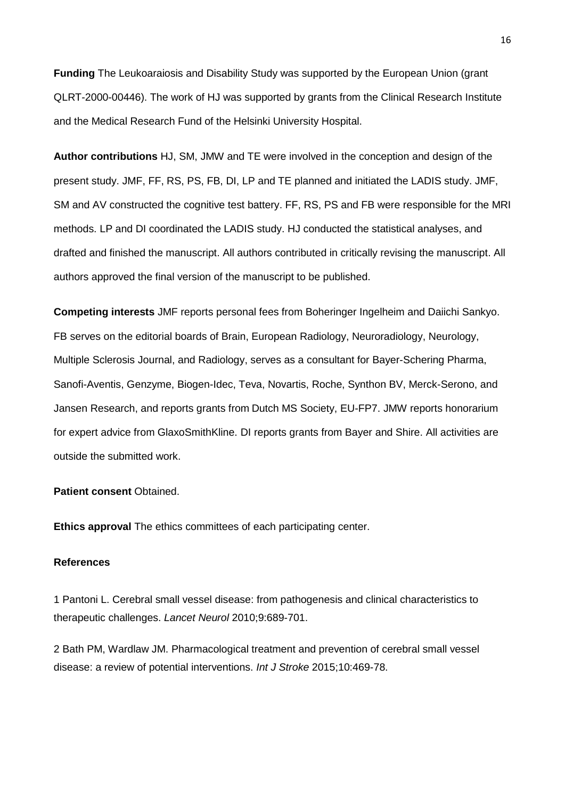**Funding** The Leukoaraiosis and Disability Study was supported by the European Union (grant QLRT-2000-00446). The work of HJ was supported by grants from the Clinical Research Institute and the Medical Research Fund of the Helsinki University Hospital.

**Author contributions** HJ, SM, JMW and TE were involved in the conception and design of the present study. JMF, FF, RS, PS, FB, DI, LP and TE planned and initiated the LADIS study. JMF, SM and AV constructed the cognitive test battery. FF, RS, PS and FB were responsible for the MRI methods. LP and DI coordinated the LADIS study. HJ conducted the statistical analyses, and drafted and finished the manuscript. All authors contributed in critically revising the manuscript. All authors approved the final version of the manuscript to be published.

**Competing interests** JMF reports personal fees from Boheringer Ingelheim and Daiichi Sankyo. FB serves on the editorial boards of Brain, European Radiology, Neuroradiology, Neurology, Multiple Sclerosis Journal, and Radiology, serves as a consultant for Bayer-Schering Pharma, Sanofi-Aventis, Genzyme, Biogen-Idec, Teva, Novartis, Roche, Synthon BV, Merck-Serono, and Jansen Research, and reports grants from Dutch MS Society, EU-FP7. JMW reports honorarium for expert advice from GlaxoSmithKline. DI reports grants from Bayer and Shire. All activities are outside the submitted work.

## **Patient consent** Obtained.

**Ethics approval** The ethics committees of each participating center.

#### **References**

1 Pantoni L. Cerebral small vessel disease: from pathogenesis and clinical characteristics to therapeutic challenges. *Lancet Neurol* 2010;9:689-701.

2 Bath PM, Wardlaw JM. Pharmacological treatment and prevention of cerebral small vessel disease: a review of potential interventions. *Int J Stroke* 2015;10:469-78.

16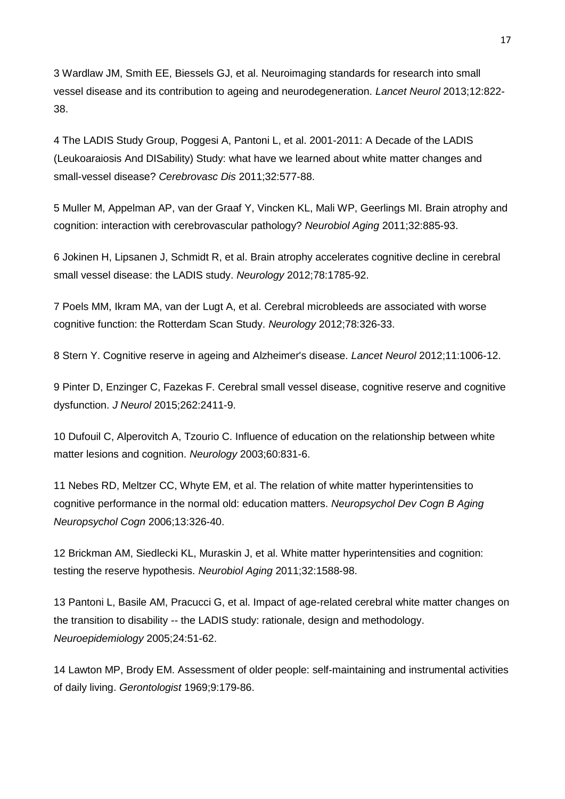3 Wardlaw JM, Smith EE, Biessels GJ, et al. Neuroimaging standards for research into small vessel disease and its contribution to ageing and neurodegeneration. *Lancet Neurol* 2013;12:822- 38.

4 The LADIS Study Group, Poggesi A, Pantoni L, et al. 2001-2011: A Decade of the LADIS (Leukoaraiosis And DISability) Study: what have we learned about white matter changes and small-vessel disease? *Cerebrovasc Dis* 2011;32:577-88.

5 Muller M, Appelman AP, van der Graaf Y, Vincken KL, Mali WP, Geerlings MI. Brain atrophy and cognition: interaction with cerebrovascular pathology? *Neurobiol Aging* 2011;32:885-93.

6 Jokinen H, Lipsanen J, Schmidt R, et al. Brain atrophy accelerates cognitive decline in cerebral small vessel disease: the LADIS study. *Neurology* 2012;78:1785-92.

7 Poels MM, Ikram MA, van der Lugt A, et al. Cerebral microbleeds are associated with worse cognitive function: the Rotterdam Scan Study. *Neurology* 2012;78:326-33.

8 Stern Y. Cognitive reserve in ageing and Alzheimer's disease. *Lancet Neurol* 2012;11:1006-12.

9 Pinter D, Enzinger C, Fazekas F. Cerebral small vessel disease, cognitive reserve and cognitive dysfunction. *J Neurol* 2015;262:2411-9.

10 Dufouil C, Alperovitch A, Tzourio C. Influence of education on the relationship between white matter lesions and cognition. *Neurology* 2003;60:831-6.

11 Nebes RD, Meltzer CC, Whyte EM, et al. The relation of white matter hyperintensities to cognitive performance in the normal old: education matters. *Neuropsychol Dev Cogn B Aging Neuropsychol Cogn* 2006;13:326-40.

12 Brickman AM, Siedlecki KL, Muraskin J, et al. White matter hyperintensities and cognition: testing the reserve hypothesis. *Neurobiol Aging* 2011;32:1588-98.

13 Pantoni L, Basile AM, Pracucci G, et al. Impact of age-related cerebral white matter changes on the transition to disability -- the LADIS study: rationale, design and methodology. *Neuroepidemiology* 2005;24:51-62.

14 Lawton MP, Brody EM. Assessment of older people: self-maintaining and instrumental activities of daily living. *Gerontologist* 1969;9:179-86.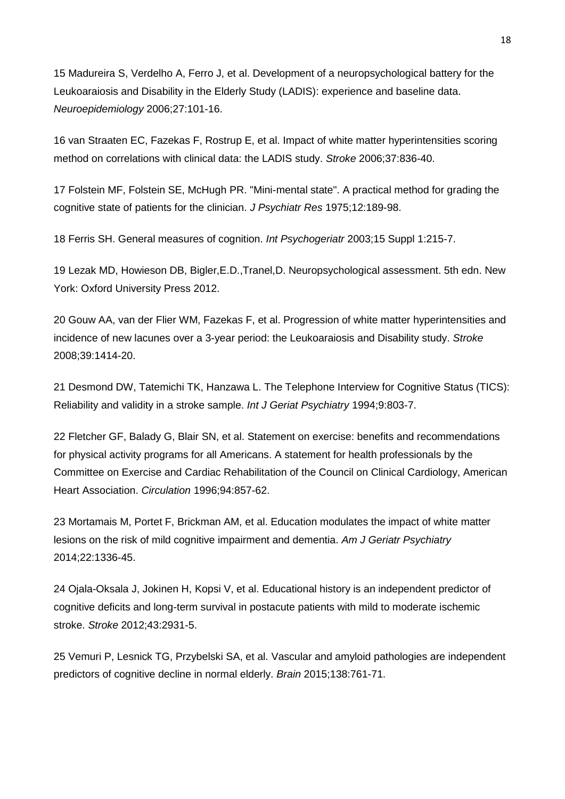15 Madureira S, Verdelho A, Ferro J, et al. Development of a neuropsychological battery for the Leukoaraiosis and Disability in the Elderly Study (LADIS): experience and baseline data. *Neuroepidemiology* 2006;27:101-16.

16 van Straaten EC, Fazekas F, Rostrup E, et al. Impact of white matter hyperintensities scoring method on correlations with clinical data: the LADIS study. *Stroke* 2006;37:836-40.

17 Folstein MF, Folstein SE, McHugh PR. "Mini-mental state". A practical method for grading the cognitive state of patients for the clinician. *J Psychiatr Res* 1975;12:189-98.

18 Ferris SH. General measures of cognition. *Int Psychogeriatr* 2003;15 Suppl 1:215-7.

19 Lezak MD, Howieson DB, Bigler,E.D.,Tranel,D. Neuropsychological assessment. 5th edn. New York: Oxford University Press 2012.

20 Gouw AA, van der Flier WM, Fazekas F, et al. Progression of white matter hyperintensities and incidence of new lacunes over a 3-year period: the Leukoaraiosis and Disability study. *Stroke*  2008;39:1414-20.

21 Desmond DW, Tatemichi TK, Hanzawa L. The Telephone Interview for Cognitive Status (TICS): Reliability and validity in a stroke sample. *Int J Geriat Psychiatry* 1994;9:803-7.

22 Fletcher GF, Balady G, Blair SN, et al. Statement on exercise: benefits and recommendations for physical activity programs for all Americans. A statement for health professionals by the Committee on Exercise and Cardiac Rehabilitation of the Council on Clinical Cardiology, American Heart Association. *Circulation* 1996;94:857-62.

23 Mortamais M, Portet F, Brickman AM, et al. Education modulates the impact of white matter lesions on the risk of mild cognitive impairment and dementia. *Am J Geriatr Psychiatry*  2014;22:1336-45.

24 Ojala-Oksala J, Jokinen H, Kopsi V, et al. Educational history is an independent predictor of cognitive deficits and long-term survival in postacute patients with mild to moderate ischemic stroke. *Stroke* 2012;43:2931-5.

25 Vemuri P, Lesnick TG, Przybelski SA, et al. Vascular and amyloid pathologies are independent predictors of cognitive decline in normal elderly. *Brain* 2015;138:761-71.